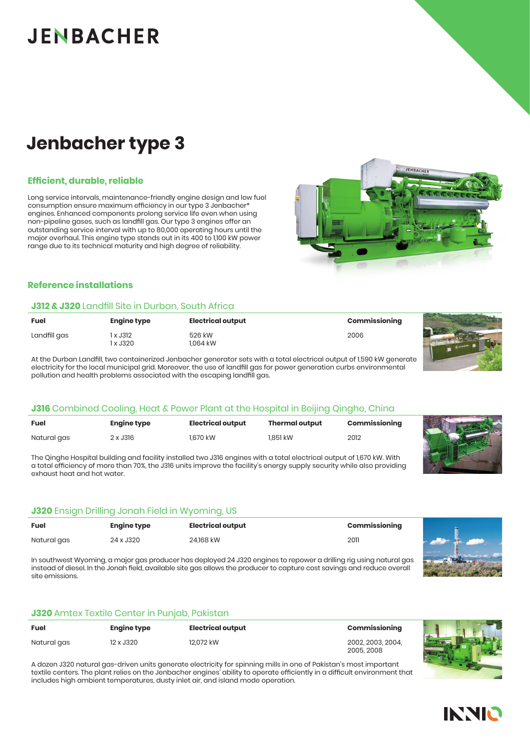# **JENBACHER**

# **Jenbacher type 3**

#### **Efficient, durable, reliable**

Long service intervals, maintenance-friendly engine design and low fuel consumption ensure maximum efficiency in our type 3 Jenbacher\* engines. Enhanced components prolong service life even when using non-pipeline gases, such as landfill gas. Our type 3 engines offer an outstanding service interval with up to 80,000 operating hours until the major overhaul. This engine type stands out in its 400 to 1,100 kW power range due to its technical maturity and high degree of reliability.



### **Reference installations**

### **J312 & J320** Landfill Site in Durban, South Africa

| <b>Fuel</b>  | <b>Engine type</b> | <b>Electrical output</b> | Commissioning |  |
|--------------|--------------------|--------------------------|---------------|--|
| Landfill gas | x J312<br>x J320   | 526 kW<br>.064 kW        | 2006          |  |

At the Durban Landfill, two containerized Jenbacher generator sets with a total electrical output of 1,590 kW generate electricity for the local municipal grid. Moreover, the use of landfill gas for power generation curbs environmental pollution and health problems associated with the escaping landfill gas.

### **J316** Combined Cooling, Heat & Power Plant at the Hospital in Beijing Qinghe, China

| <b>Fuel</b> | <b>Engine type</b> | <b>Electrical output</b> | <b>Thermal output</b> | Commissioning |  |
|-------------|--------------------|--------------------------|-----------------------|---------------|--|
| Natural gas | 2 x J316           | .670 kW                  | ı.851 kW              | 2012          |  |

The Qinghe Hospital building and facility installed two J316 engines with a total electrical output of 1,670 kW. With a total efficiency of more than 70%, the J316 units improve the facility's energy supply security while also providing exhaust heat and hot water.

# **J320** Ensign Drilling Jonah Field in Wyoming, US

| <b>Fuel</b> | Engine type | <b>Electrical output</b> | Commissioning |                                                                                                                                                                                                                                      |
|-------------|-------------|--------------------------|---------------|--------------------------------------------------------------------------------------------------------------------------------------------------------------------------------------------------------------------------------------|
| Natural gas | 24 x J320   | 24,168 kW                | 2011          | <b>Contract Contract Contract Contract Contract Contract Contract Contract Contract Contract Contract Contract Contract Contract Contract Contract Contract Contract Contract Contract Contract Contract Contract Contract Contr</b> |

In southwest Wyoming, a major gas producer has deployed 24 J320 engines to repower a drilling rig using natural gas instead of diesel. In the Jonah field, available site gas allows the producer to capture cost savings and reduce overall site emissions.

### **J320** Amtex Textile Center in Punjab, Pakistan

| <b>Fuel</b> | Engine type | <b>Electrical output</b> | Commissioning                   |
|-------------|-------------|--------------------------|---------------------------------|
| Natural gas | 12 x J320   | 12.072 kW                | 2002. 2003. 2004.<br>2005, 2008 |



A dozen J320 natural gas-driven units generate electricity for spinning mills in one of Pakistan's most important textile centers. The plant relies on the Jenbacher engines' ability to operate efficiently in a difficult environment that includes high ambient temperatures, dusty inlet air, and island mode operation.